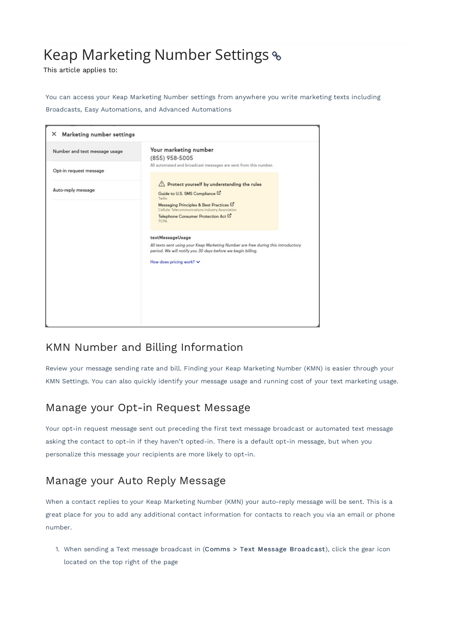## Keap Marketing Number Settings

This article applies to:

You can access your Keap Marketing Number settings from anywhere you write marketing texts including Broadcasts, Easy Automations, and Advanced Automations

| Number and text message usage | Your marketing number                                                                                                                            |
|-------------------------------|--------------------------------------------------------------------------------------------------------------------------------------------------|
|                               | (855) 958-5005                                                                                                                                   |
| Opt-in request message        | All automated and broadcast messages are sent from this number.                                                                                  |
|                               | Protect yourself by understanding the rules                                                                                                      |
| Auto-reply message            | Guide to U.S. SMS Compliance L'<br>Twilio                                                                                                        |
|                               | Messaging Principles & Best Practices L'<br>Cellular Telecommunications Industry Association                                                     |
|                               | Telephone Consumer Protection Act L'<br><b>TCPA</b>                                                                                              |
|                               | textMessageUsage                                                                                                                                 |
|                               | All texts sent using your Keap Marketing Number are free during this introductory<br>period. We will notify you 30 days before we begin billing. |
|                               | How does pricing work? $\vee$                                                                                                                    |
|                               |                                                                                                                                                  |
|                               |                                                                                                                                                  |
|                               |                                                                                                                                                  |
|                               |                                                                                                                                                  |

## KMN Number and Billing Information

Review your message sending rate and bill. Finding your Keap Marketing Number (KMN) is easier through your KMN Settings. You can also quickly identify your message usage and running cost of your text marketing usage.

## Manage your Opt-in Request Message

Your opt-in request message sent out preceding the first text message broadcast or automated text message asking the contact to opt-in if they haven't opted-in. There is a default opt-in message, but when you personalize this message your recipients are more likely to opt-in.

## Manage your Auto Reply Message

When a contact replies to your Keap Marketing Number (KMN) your auto-reply message will be sent. This is a great place for you to add any additional contact information for contacts to reach you via an email or phone number.

1. When sending a Text message broadcast in (Comms > Text Message Broadcast), click the gear icon located on the top right of the page